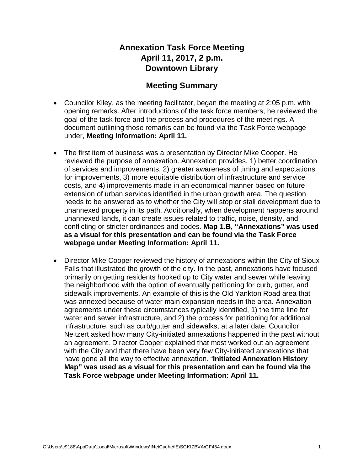## **Annexation Task Force Meeting April 11, 2017, 2 p.m. Downtown Library**

## **Meeting Summary**

- Councilor Kiley, as the meeting facilitator, began the meeting at 2:05 p.m. with opening remarks. After introductions of the task force members, he reviewed the goal of the task force and the process and procedures of the meetings. A document outlining those remarks can be found via the Task Force webpage under, **Meeting Information: April 11.**
- The first item of business was a presentation by Director Mike Cooper. He reviewed the purpose of annexation. Annexation provides, 1) better coordination of services and improvements, 2) greater awareness of timing and expectations for improvements, 3) more equitable distribution of infrastructure and service costs, and 4) improvements made in an economical manner based on future extension of urban services identified in the urban growth area. The question needs to be answered as to whether the City will stop or stall development due to unannexed property in its path. Additionally, when development happens around unannexed lands, it can create issues related to traffic, noise, density, and conflicting or stricter ordinances and codes. **Map 1.B, "Annexations" was used as a visual for this presentation and can be found via the Task Force webpage under Meeting Information: April 11.**
- Director Mike Cooper reviewed the history of annexations within the City of Sioux Falls that illustrated the growth of the city. In the past, annexations have focused primarily on getting residents hooked up to City water and sewer while leaving the neighborhood with the option of eventually petitioning for curb, gutter, and sidewalk improvements. An example of this is the Old Yankton Road area that was annexed because of water main expansion needs in the area. Annexation agreements under these circumstances typically identified, 1) the time line for water and sewer infrastructure, and 2) the process for petitioning for additional infrastructure, such as curb/gutter and sidewalks, at a later date. Councilor Neitzert asked how many City-initiated annexations happened in the past without an agreement. Director Cooper explained that most worked out an agreement with the City and that there have been very few City-initiated annexations that have gone all the way to effective annexation. "**Initiated Annexation History Map" was used as a visual for this presentation and can be found via the Task Force webpage under Meeting Information: April 11.**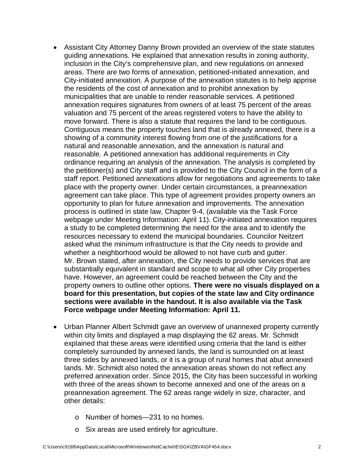- Assistant City Attorney Danny Brown provided an overview of the state statutes guiding annexations. He explained that annexation results in zoning authority, inclusion in the City's comprehensive plan, and new regulations on annexed areas. There are two forms of annexation, petitioned-initiated annexation, and City-initiated annexation. A purpose of the annexation statutes is to help apprise the residents of the cost of annexation and to prohibit annexation by municipalities that are unable to render reasonable services. A petitioned annexation requires signatures from owners of at least 75 percent of the areas valuation and 75 percent of the areas registered voters to have the ability to move forward. There is also a statute that requires the land to be contiguous. Contiguous means the property touches land that is already annexed, there is a showing of a community interest flowing from one of the justifications for a natural and reasonable annexation, and the annexation is natural and reasonable. A petitioned annexation has additional requirements in City ordinance requiring an analysis of the annexation. The analysis is completed by the petitioner(s) and City staff and is provided to the City Council in the form of a staff report. Petitioned annexations allow for negotiations and agreements to take place with the property owner. Under certain circumstances, a preannexation agreement can take place. This type of agreement provides property owners an opportunity to plan for future annexation and improvements. The annexation process is outlined in state law, Chapter 9-4, (available via the Task Force webpage under Meeting Information: April 11). City-initiated annexation requires a study to be completed determining the need for the area and to identify the resources necessary to extend the municipal boundaries. Councilor Neitzert asked what the minimum infrastructure is that the City needs to provide and whether a neighborhood would be allowed to not have curb and gutter. Mr. Brown stated, after annexation, the City needs to provide services that are substantially equivalent in standard and scope to what all other City properties have. However, an agreement could be reached between the City and the property owners to outline other options. **There were no visuals displayed on a board for this presentation, but copies of the state law and City ordinance sections were available in the handout. It is also available via the Task Force webpage under Meeting Information: April 11.**
- Urban Planner Albert Schmidt gave an overview of unannexed property currently within city limits and displayed a map displaying the 62 areas. Mr. Schmidt explained that these areas were identified using criteria that the land is either completely surrounded by annexed lands, the land is surrounded on at least three sides by annexed lands, or it is a group of rural homes that abut annexed lands. Mr. Schmidt also noted the annexation areas shown do not reflect any preferred annexation order. Since 2015, the City has been successful in working with three of the areas shown to become annexed and one of the areas on a preannexation agreement. The 62 areas range widely in size, character, and other details:
	- o Number of homes—231 to no homes.
	- o Six areas are used entirely for agriculture.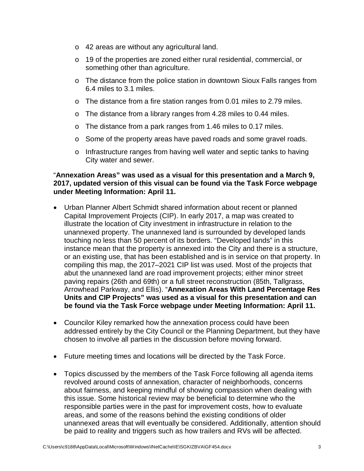- o 42 areas are without any agricultural land.
- o 19 of the properties are zoned either rural residential, commercial, or something other than agriculture.
- o The distance from the police station in downtown Sioux Falls ranges from 6.4 miles to 3.1 miles.
- o The distance from a fire station ranges from 0.01 miles to 2.79 miles.
- o The distance from a library ranges from 4.28 miles to 0.44 miles.
- o The distance from a park ranges from 1.46 miles to 0.17 miles.
- $\circ$  Some of the property areas have paved roads and some gravel roads.
- $\circ$  Infrastructure ranges from having well water and septic tanks to having City water and sewer.

## "**Annexation Areas" was used as a visual for this presentation and a March 9, 2017, updated version of this visual can be found via the Task Force webpage under Meeting Information: April 11.**

- Urban Planner Albert Schmidt shared information about recent or planned Capital Improvement Projects (CIP). In early 2017, a map was created to illustrate the location of City investment in infrastructure in relation to the unannexed property. The unannexed land is surrounded by developed lands touching no less than 50 percent of its borders. "Developed lands" in this instance mean that the property is annexed into the City and there is a structure, or an existing use, that has been established and is in service on that property. In compiling this map, the 2017–2021 CIP list was used. Most of the projects that abut the unannexed land are road improvement projects; either minor street paving repairs (26th and 69th) or a full street reconstruction (85th, Tallgrass, Arrowhead Parkway, and Ellis). "**Annexation Areas With Land Percentage Res Units and CIP Projects" was used as a visual for this presentation and can be found via the Task Force webpage under Meeting Information: April 11.**
- Councilor Kiley remarked how the annexation process could have been addressed entirely by the City Council or the Planning Department, but they have chosen to involve all parties in the discussion before moving forward.
- Future meeting times and locations will be directed by the Task Force.
- Topics discussed by the members of the Task Force following all agenda items revolved around costs of annexation, character of neighborhoods, concerns about fairness, and keeping mindful of showing compassion when dealing with this issue. Some historical review may be beneficial to determine who the responsible parties were in the past for improvement costs, how to evaluate areas, and some of the reasons behind the existing conditions of older unannexed areas that will eventually be considered. Additionally, attention should be paid to reality and triggers such as how trailers and RVs will be affected.